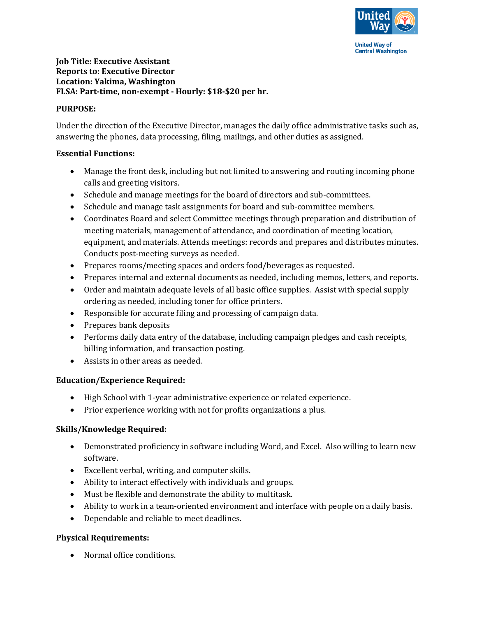

**Central Washington** 

# **Job Title: Executive Assistant Reports to: Executive Director Location: Yakima, Washington FLSA: Part-time, non-exempt - Hourly: \$18-\$20 per hr.**

### **PURPOSE:**

Under the direction of the Executive Director, manages the daily office administrative tasks such as, answering the phones, data processing, filing, mailings, and other duties as assigned.

### **Essential Functions:**

- Manage the front desk, including but not limited to answering and routing incoming phone calls and greeting visitors.
- Schedule and manage meetings for the board of directors and sub-committees.
- Schedule and manage task assignments for board and sub-committee members.
- Coordinates Board and select Committee meetings through preparation and distribution of meeting materials, management of attendance, and coordination of meeting location, equipment, and materials. Attends meetings: records and prepares and distributes minutes. Conducts post-meeting surveys as needed.
- Prepares rooms/meeting spaces and orders food/beverages as requested.
- Prepares internal and external documents as needed, including memos, letters, and reports.
- Order and maintain adequate levels of all basic office supplies. Assist with special supply ordering as needed, including toner for office printers.
- Responsible for accurate filing and processing of campaign data.
- Prepares bank deposits
- Performs daily data entry of the database, including campaign pledges and cash receipts, billing information, and transaction posting.
- Assists in other areas as needed.

### **Education/Experience Required:**

- High School with 1-year administrative experience or related experience.
- Prior experience working with not for profits organizations a plus.

### **Skills/Knowledge Required:**

- Demonstrated proficiency in software including Word, and Excel. Also willing to learn new software.
- Excellent verbal, writing, and computer skills.
- Ability to interact effectively with individuals and groups.
- Must be flexible and demonstrate the ability to multitask.
- Ability to work in a team-oriented environment and interface with people on a daily basis.
- Dependable and reliable to meet deadlines.

### **Physical Requirements:**

• Normal office conditions.